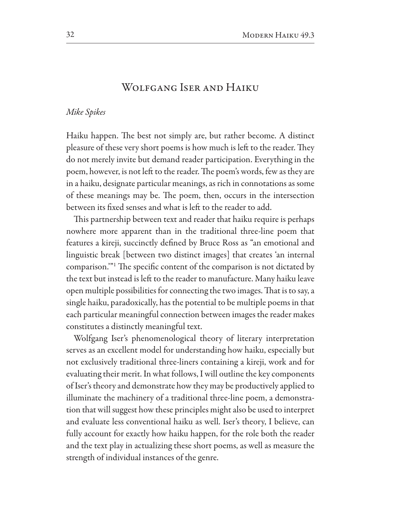## WOLFGANG ISER AND HAIKU

## Mike Spikes

Haiku happen. The best not simply are, but rather become. A distinct pleasure of these very short poems is how much is left to the reader. They do not merely invite but demand reader participation. Everything in the poem, however, is not left to the reader. The poem's words, few as they are in a haiku, designate particular meanings, as rich in connotations as some of these meanings may be. The poem, then, occurs in the intersection between its fixed senses and what is left to the reader to add.

This partnership between text and reader that haiku require is perhaps nowhere more apparent than in the traditional three-line poem that features a kireji, succinctly defined by Bruce Ross as "an emotional and linguistic break [between two distinct images] that creates 'an internal comparison."<sup>1</sup> The specific content of the comparison is not dictated by the text but instead is left to the reader to manufacture. Many haiku leave open multiple possibilities for connecting the two images. That is to say, a single haiku, paradoxically, has the potential to be multiple poems in that each particular meaningful connection between images the reader makes constitutes a distinctly meaningful text.

Wolfgang Iser's phenomenological theory of literary interpretation serves as an excellent model for understanding how haiku, especially but not exclusively traditional three-liners containing a kireji, work and for evaluating their merit. In what follows, I will outline the key components of Iser's theory and demonstrate how they may be productively applied to illuminate the machinery of a traditional three-line poem, a demonstration that will suggest how these principles might also be used to interpret and evaluate less conventional haiku as well. Iser's theory, I believe, can fully account for exactly how haiku happen, for the role both the reader and the text play in actualizing these short poems, as well as measure the strength of individual instances of the genre.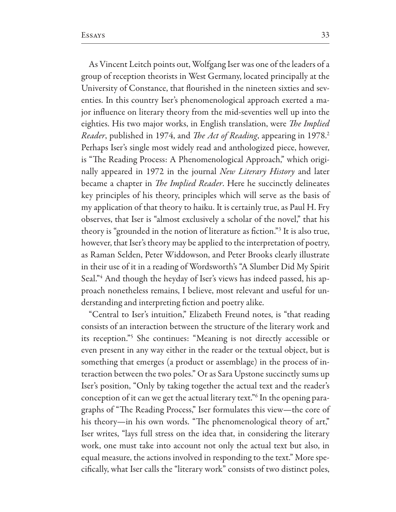As Vincent Leitch points out, Wolfgang Iser was one of the leaders of a group of reception theorists in West Germany, located principally at the University of Constance, that flourished in the nineteen sixties and seventies. In this country Iser's phenomenological approach exerted a major influence on literary theory from the mid-seventies well up into the eighties. His two major works, in English translation, were The Implied Reader, published in 1974, and The Act of Reading, appearing in 1978.<sup>2</sup> Perhaps Iser's single most widely read and anthologized piece, however, is "The Reading Process: A Phenomenological Approach," which originally appeared in 1972 in the journal New Literary History and later became a chapter in *The Implied Reader*. Here he succinctly delineates key principles of his theory, principles which will serve as the basis of my application of that theory to haiku. It is certainly true, as Paul H. Fry observes, that Iser is "almost exclusively a scholar of the novel," that his theory is "grounded in the notion of literature as fiction."<sup>3</sup> It is also true, however, that Iser's theory may be applied to the interpretation of poetry, as Raman Selden, Peter Widdowson, and Peter Brooks clearly illustrate in their use of it in a reading of Wordsworth's "A Slumber Did My Spirit Seal."4 And though the heyday of Iser's views has indeed passed, his approach nonetheless remains, I believe, most relevant and useful for understanding and interpreting fiction and poetry alike.

"Central to Iser's intuition," Elizabeth Freund notes, is "that reading consists of an interaction between the structure of the literary work and its reception."<sup>5</sup> She continues: "Meaning is not directly accessible or even present in any way either in the reader or the textual object, but is something that emerges (a product or assemblage) in the process of interaction between the two poles." Or as Sara Upstone succinctly sums up Iser's position, "Only by taking together the actual text and the reader's conception of it can we get the actual literary text."<sup>6</sup> In the opening paragraphs of "The Reading Process," Iser formulates this view-the core of his theory-in his own words. "The phenomenological theory of art," Iser writes, "lays full stress on the idea that, in considering the literary work, one must take into account not only the actual text but also, in equal measure, the actions involved in responding to the text." More specifically, what Iser calls the "literary work" consists of two distinct poles,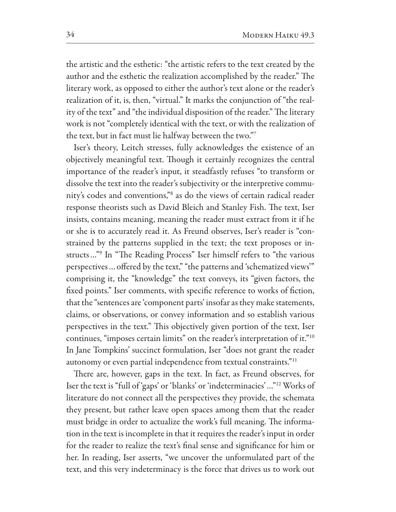the artistic and the esthetic: "the artistic refers to the text created by the author and the esthetic the realization accomplished by the reader." The literary work, as opposed to either the author's text alone or the reader's realization of it, is, then, "virtual." It marks the conjunction of "the reality of the text" and "the individual disposition of the reader." The literary work is not "completely identical with the text, or with the realization of the text, but in fact must lie halfway between the two."7

Iser's theory, Leitch stresses, fully acknowledges the existence of an objectively meaningful text. Though it certainly recognizes the central importance of the reader's input, it steadfastly refuses "to transform or dissolve the text into the reader's subjectivity or the interpretive community's codes and conventions,"<sup>8</sup> as do the views of certain radical reader response theorists such as David Bleich and Stanley Fish. The text, Iser insists, contains meaning, meaning the reader must extract from it if he or she is to accurately read it. As Freund observes, Iser's reader is "constrained by the patterns supplied in the text; the text proposes or instructs..."<sup>9</sup> In "The Reading Process" Iser himself refers to "the various perspectives ... offered by the text," "the patterns and 'schematized views" comprising it, the "knowledge" the text conveys, its "given factors, the fixed points." Iser comments, with specific reference to works of fiction, that the "sentences are 'component parts' insofar as they make statements, claims, or observations, or convey information and so establish various perspectives in the text." This objectively given portion of the text, Iser continues, "imposes certain limits" on the reader's interpretation of it."<sup>10</sup> In Jane Tompkins' succinct formulation, Iser "does not grant the reader autonomy or even partial independence from textual constraints."<sup>11</sup>

There are, however, gaps in the text. In fact, as Freund observes, for Iser the text is "full of 'gaps' or 'blanks' or 'indeterminacies'..."<sup>12</sup> Works of literature do not connect all the perspectives they provide, the schemata they present, but rather leave open spaces among them that the reader must bridge in order to actualize the work's full meaning. The information in the text is incomplete in that it requires the reader's input in order for the reader to realize the text's final sense and significance for him or her. In reading, Iser asserts, "we uncover the unformulated part of the text, and this very indeterminacy is the force that drives us to work out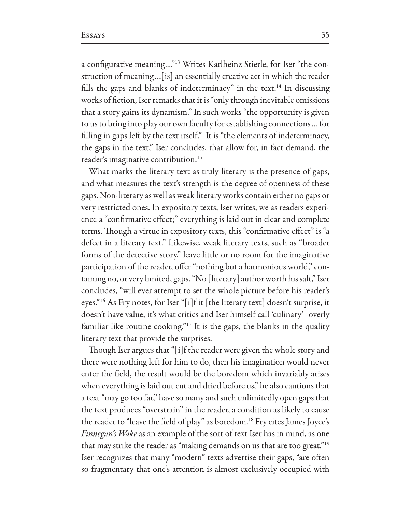a configurative meaning..."<sup>13</sup> Writes Karlheinz Stierle, for Iser "the construction of meaning...[is] an essentially creative act in which the reader fills the gaps and blanks of indeterminacy" in the text.<sup>14</sup> In discussing works of fiction, Iser remarks that it is "only through inevitable omissions that a story gains its dynamism." In such works "the opportunity is given to us to bring into play our own faculty for establishing connections ... for filling in gaps left by the text itself." It is "the elements of indeterminacy, the gaps in the text," Iser concludes, that allow for, in fact demand, the reader's imaginative contribution.<sup>15</sup>

What marks the literary text as truly literary is the presence of gaps, and what measures the text's strength is the degree of openness of these gaps. Non-literary as well as weak literary works contain either no gaps or very restricted ones. In expository texts, Iser writes, we as readers experience a "confirmative effect;" everything is laid out in clear and complete terms. Though a virtue in expository texts, this "confirmative effect" is "a defect in a literary text." Likewise, weak literary texts, such as "broader forms of the detective story," leave little or no room for the imaginative participation of the reader, offer "nothing but a harmonious world," containing no, or very limited, gaps. "No [literary] author worth his salt," Iser concludes, "will ever attempt to set the whole picture before his reader's eyes."<sup>16</sup> As Fry notes, for Iser "[i]f it [the literary text] doesn't surprise, it doesn't have value, it's what critics and Iser himself call 'culinary'-overly familiar like routine cooking."<sup>17</sup> It is the gaps, the blanks in the quality literary text that provide the surprises.

Though Iser argues that "[i]f the reader were given the whole story and there were nothing left for him to do, then his imagination would never enter the field, the result would be the boredom which invariably arises when everything is laid out cut and dried before us," he also cautions that a text "may go too far," have so many and such unlimitedly open gaps that the text produces "overstrain" in the reader, a condition as likely to cause the reader to "leave the field of play" as boredom.<sup>18</sup> Fry cites James Joyce's *Finnegan's Wake* as an example of the sort of text Iser has in mind, as one that may strike the reader as "making demands on us that are too great."<sup>19</sup> Iser recognizes that many "modern" texts advertise their gaps, "are often so fragmentary that one's attention is almost exclusively occupied with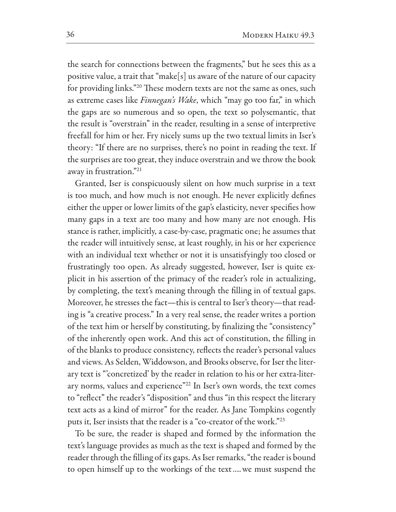the search for connections between the fragments," but he sees this as a positive value, a trait that "make[s] us aware of the nature of our capacity for providing links."<sup>20</sup> These modern texts are not the same as ones, such as extreme cases like *Finnegan's Wake*, which "may go too far," in which the gaps are so numerous and so open, the text so polysemantic, that the result is "overstrain" in the reader, resulting in a sense of interpretive freefall for him or her. Fry nicely sums up the two textual limits in Iser's theory: "If there are no surprises, there's no point in reading the text. If the surprises are too great, they induce overstrain and we throw the book away in frustration."21

Granted, Iser is conspicuously silent on how much surprise in a text is too much, and how much is not enough. He never explicitly defines either the upper or lower limits of the gap's elasticity, never specifies how many gaps in a text are too many and how many are not enough. His stance is rather, implicitly, a case-by-case, pragmatic one; he assumes that the reader will intuitively sense, at least roughly, in his or her experience with an individual text whether or not it is unsatisfyingly too closed or frustratingly too open. As already suggested, however, Iser is quite explicit in his assertion of the primacy of the reader's role in actualizing, by completing, the text's meaning through the filling in of textual gaps. Moreover, he stresses the fact-this is central to Iser's theory-that reading is "a creative process." In a very real sense, the reader writes a portion of the text him or herself by constituting, by finalizing the "consistency" of the inherently open work. And this act of constitution, the filling in of the blanks to produce consistency, reflects the reader's personal values and views. As Selden, Widdowson, and Brooks observe, for Iser the literary text is "concretized' by the reader in relation to his or her extra-literary norms, values and experience"<sup>22</sup> In Iser's own words, the text comes to "reflect" the reader's "disposition" and thus "in this respect the literary text acts as a kind of mirror" for the reader. As Jane Tompkins cogently puts it, Iser insists that the reader is a "co-creator of the work."<sup>23</sup>

To be sure, the reader is shaped and formed by the information the text's language provides as much as the text is shaped and formed by the reader through the filling of its gaps. As Iser remarks, "the reader is bound to open himself up to the workings of the text.... we must suspend the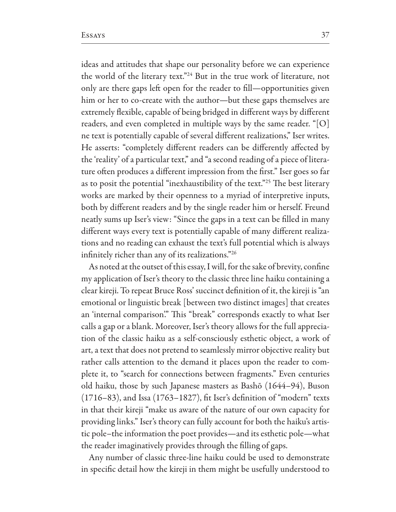ideas and attitudes that shape our personality before we can experience the world of the literary text."<sup>24</sup> But in the true work of literature, not only are there gaps left open for the reader to fill-opportunities given him or her to co-create with the author-but these gaps themselves are extremely flexible, capable of being bridged in different ways by different readers, and even completed in multiple ways by the same reader. "[O] ne text is potentially capable of several different realizations," Iser writes. He asserts: "completely different readers can be differently affected by the 'reality' of a particular text," and "a second reading of a piece of literature often produces a different impression from the first." Iser goes so far as to posit the potential "inexhaustibility of the text."<sup>25</sup> The best literary works are marked by their openness to a myriad of interpretive inputs, both by different readers and by the single reader him or herself. Freund neatly sums up Iser's view: "Since the gaps in a text can be filled in many different ways every text is potentially capable of many different realizations and no reading can exhaust the text's full potential which is always infinitely richer than any of its realizations."26

As noted at the outset of this essay, I will, for the sake of brevity, confine my application of Iser's theory to the classic three line haiku containing a clear kireji. To repeat Bruce Ross' succinct definition of it, the kireji is "an emotional or linguistic break [between two distinct images] that creates an 'internal comparison'." This "break" corresponds exactly to what Iser calls a gap or a blank. Moreover, Iser's theory allows for the full appreciation of the classic haiku as a self-consciously esthetic object, a work of art, a text that does not pretend to seamlessly mirror objective reality but rather calls attention to the demand it places upon the reader to complete it, to "search for connections between fragments." Even centuries old haiku, those by such Japanese masters as Bashō (1644–94), Buson  $(1716-83)$ , and Issa  $(1763-1827)$ , fit Iser's definition of "modern" texts in that their kireji "make us aware of the nature of our own capacity for providing links." Iser's theory can fully account for both the haiku's artistic pole-the information the poet provides—and its esthetic pole—what the reader imaginatively provides through the filling of gaps.

Any number of classic three-line haiku could be used to demonstrate in specific detail how the kireji in them might be usefully understood to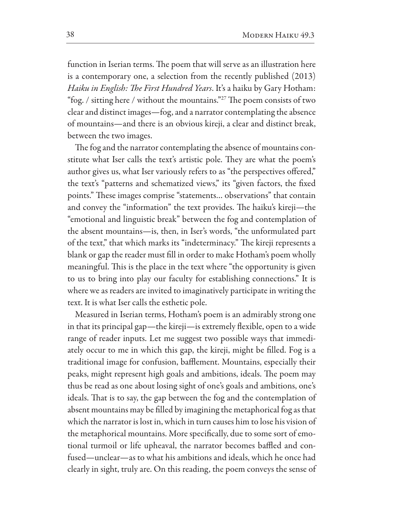function in Iserian terms. The poem that will serve as an illustration here is a contemporary one, a selection from the recently published (2013) Haiku in English: The First Hundred Years. It's a haiku by Gary Hotham: "fog. / sitting here / without the mountains."<sup>27</sup> The poem consists of two clear and distinct images-fog, and a narrator contemplating the absence of mountains—and there is an obvious kireji, a clear and distinct break, between the two images.

The fog and the narrator contemplating the absence of mountains constitute what Iser calls the text's artistic pole. They are what the poem's author gives us, what Iser variously refers to as "the perspectives offered," the text's "patterns and schematized views," its "given factors, the fixed points." These images comprise "statements... observations" that contain and convey the "information" the text provides. The haiku's kireji-the "emotional and linguistic break" between the fog and contemplation of the absent mountains-is, then, in Iser's words, "the unformulated part of the text," that which marks its "indeterminacy." The kireji represents a blank or gap the reader must fill in order to make Hotham's poem wholly meaningful. This is the place in the text where "the opportunity is given to us to bring into play our faculty for establishing connections." It is where we as readers are invited to imaginatively participate in writing the text. It is what Iser calls the esthetic pole.

Measured in Iserian terms, Hotham's poem is an admirably strong one in that its principal gap—the kireji—is extremely flexible, open to a wide range of reader inputs. Let me suggest two possible ways that immediately occur to me in which this gap, the kireji, might be filled. Fog is a traditional image for confusion, bafflement. Mountains, especially their peaks, might represent high goals and ambitions, ideals. The poem may thus be read as one about losing sight of one's goals and ambitions, one's ideals. That is to say, the gap between the fog and the contemplation of absent mountains may be filled by imagining the metaphorical fog as that which the narrator is lost in, which in turn causes him to lose his vision of the metaphorical mountains. More specifically, due to some sort of emotional turmoil or life upheaval, the narrator becomes baffled and confused—unclear—as to what his ambitions and ideals, which he once had clearly in sight, truly are. On this reading, the poem conveys the sense of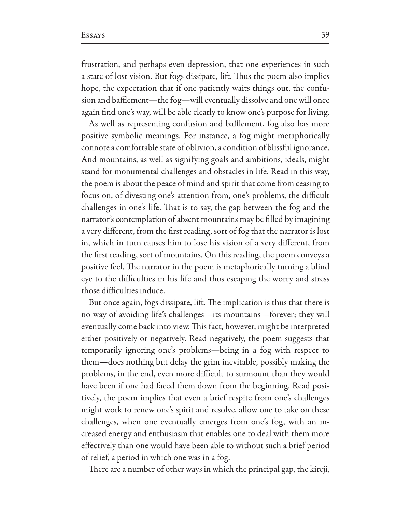frustration, and perhaps even depression, that one experiences in such a state of lost vision. But fogs dissipate, lift. Thus the poem also implies hope, the expectation that if one patiently waits things out, the confusion and bafflement—the fog—will eventually dissolve and one will once again find one's way, will be able clearly to know one's purpose for living.

As well as representing confusion and bafflement, fog also has more positive symbolic meanings. For instance, a fog might metaphorically connote a comfortable state of oblivion, a condition of blissful ignorance. And mountains, as well as signifying goals and ambitions, ideals, might stand for monumental challenges and obstacles in life. Read in this way, the poem is about the peace of mind and spirit that come from ceasing to focus on, of divesting one's attention from, one's problems, the difficult challenges in one's life. That is to say, the gap between the fog and the narrator's contemplation of absent mountains may be filled by imagining a very different, from the first reading, sort of fog that the narrator is lost in, which in turn causes him to lose his vision of a very different, from the first reading, sort of mountains. On this reading, the poem conveys a positive feel. The narrator in the poem is metaphorically turning a blind eye to the difficulties in his life and thus escaping the worry and stress those difficulties induce.

But once again, fogs dissipate, lift. The implication is thus that there is no way of avoiding life's challenges—its mountains—forever; they will eventually come back into view. This fact, however, might be interpreted either positively or negatively. Read negatively, the poem suggests that temporarily ignoring one's problems—being in a fog with respect to them—does nothing but delay the grim inevitable, possibly making the problems, in the end, even more difficult to surmount than they would have been if one had faced them down from the beginning. Read positively, the poem implies that even a brief respite from one's challenges might work to renew one's spirit and resolve, allow one to take on these challenges, when one eventually emerges from one's fog, with an increased energy and enthusiasm that enables one to deal with them more effectively than one would have been able to without such a brief period of relief, a period in which one was in a fog.

There are a number of other ways in which the principal gap, the kireji,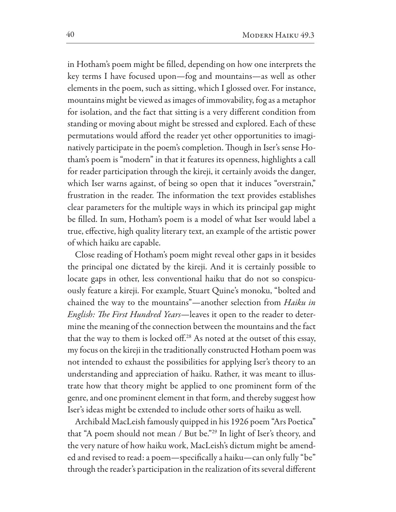in Hotham's poem might be filled, depending on how one interprets the key terms I have focused upon-fog and mountains-as well as other elements in the poem, such as sitting, which I glossed over. For instance, mountains might be viewed as images of immovability, fog as a metaphor for isolation, and the fact that sitting is a very different condition from standing or moving about might be stressed and explored. Each of these permutations would afford the reader yet other opportunities to imaginatively participate in the poem's completion. Though in Iser's sense Hotham's poem is "modern" in that it features its openness, highlights a call for reader participation through the kireji, it certainly avoids the danger, which Iser warns against, of being so open that it induces "overstrain," frustration in the reader. The information the text provides establishes clear parameters for the multiple ways in which its principal gap might be filled. In sum, Hotham's poem is a model of what Iser would label a true, effective, high quality literary text, an example of the artistic power of which haiku are capable.

Close reading of Hotham's poem might reveal other gaps in it besides the principal one dictated by the kireji. And it is certainly possible to locate gaps in other, less conventional haiku that do not so conspicuously feature a kireji. For example, Stuart Quine's monoku, "bolted and chained the way to the mountains"-another selection from Haiku in English: The First Hundred Years-leaves it open to the reader to determine the meaning of the connection between the mountains and the fact that the way to them is locked off.<sup>28</sup> As noted at the outset of this essay, my focus on the kireji in the traditionally constructed Hotham poem was not intended to exhaust the possibilities for applying Iser's theory to an understanding and appreciation of haiku. Rather, it was meant to illustrate how that theory might be applied to one prominent form of the genre, and one prominent element in that form, and thereby suggest how Iser's ideas might be extended to include other sorts of haiku as well.

Archibald MacLeish famously quipped in his 1926 poem "Ars Poetica" that "A poem should not mean / But be."<sup>29</sup> In light of Iser's theory, and the very nature of how haiku work, MacLeish's dictum might be amended and revised to read: a poem—specifically a haiku—can only fully "be" through the reader's participation in the realization of its several different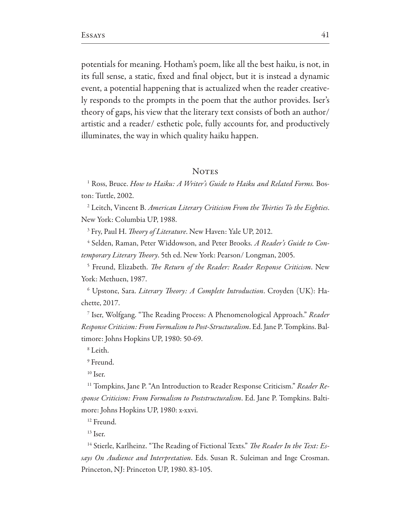potentials for meaning. Hotham's poem, like all the best haiku, is not, in its full sense, a static, fixed and final object, but it is instead a dynamic event, a potential happening that is actualized when the reader creatively responds to the prompts in the poem that the author provides. Iser's theory of gaps, his view that the literary text consists of both an author/ artistic and a reader/ esthetic pole, fully accounts for, and productively illuminates, the way in which quality haiku happen.

## **NOTES**

<sup>1</sup> Ross, Bruce. How to Haiku: A Writer's Guide to Haiku and Related Forms. Boston: Tuttle, 2002.

<sup>2</sup> Leitch, Vincent B. American Literary Criticism From the Thirties To the Eighties. New York: Columbia UP, 1988.

<sup>3</sup> Fry, Paul H. *Theory of Literature*. New Haven: Yale UP, 2012.

<sup>4</sup> Selden, Raman, Peter Widdowson, and Peter Brooks. A Reader's Guide to Contemporary Literary Theory. 5th ed. New York: Pearson/ Longman, 2005.

<sup>5</sup> Freund, Elizabeth. The Return of the Reader: Reader Response Criticism. New York: Methuen, 1987.

<sup>6</sup> Upstone, Sara. *Literary Theory: A Complete Introduction*. Croyden (UK): Hachette, 2017.

<sup>7</sup> Iser, Wolfgang. "The Reading Process: A Phenomenological Approach." Reader Response Criticism: From Formalism to Post-Structuralism. Ed. Jane P. Tompkins. Baltimore: Johns Hopkins UP, 1980: 50-69.

 $8$  Leith.

 $9$  Freund

 $10$  Iser.

<sup>11</sup> Tompkins, Jane P. "An Introduction to Reader Response Criticism." Reader Response Criticism: From Formalism to Poststructuralism. Ed. Jane P. Tompkins. Baltimore: Johns Hopkins UP, 1980: x-xxvi.

 $12$  Freund.

 $13$  Iser.

<sup>14</sup> Stierle, Karlheinz. "The Reading of Fictional Texts." The Reader In the Text: Essays On Audience and Interpretation. Eds. Susan R. Suleiman and Inge Crosman. Princeton, NJ: Princeton UP, 1980. 83-105.